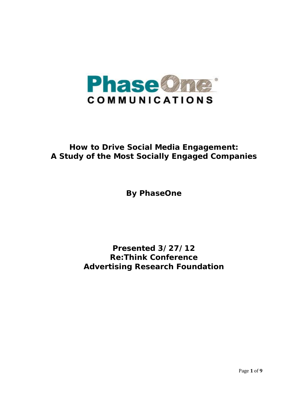

# **How to Drive Social Media Engagement: A Study of the Most Socially Engaged Companies**

**By PhaseOne** 

**Presented 3/27/12 Re:Think Conference Advertising Research Foundation**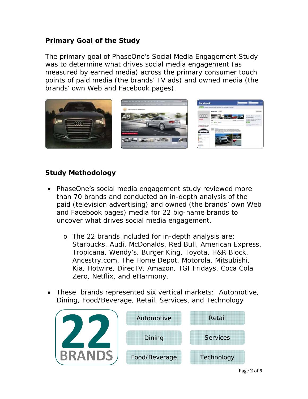## **Primary Goal of the Study**

The primary goal of PhaseOne's Social Media Engagement Study was to determine what drives social media engagement (as measured by earned media) across the primary consumer touch points of paid media (the brands' TV ads) and owned media (the brands' own Web and Facebook pages).



## **Study Methodology**

- PhaseOne's social media engagement study reviewed more than 70 brands and conducted an in-depth analysis of the paid (television advertising) and owned (the brands' own Web and Facebook pages) media for 22 big-name brands to uncover what drives social media engagement.
	- o The 22 brands included for in-depth analysis are: Starbucks, Audi, McDonalds, Red Bull, American Express, Tropicana, Wendy's, Burger King, Toyota, H&R Block, Ancestry.com, The Home Depot, Motorola, Mitsubishi, Kia, Hotwire, DirecTV, Amazon, TGI Fridays, Coca Cola Zero, Netflix, and eHarmony.
- These brands represented six vertical markets: Automotive, Dining, Food/Beverage, Retail, Services, and Technology

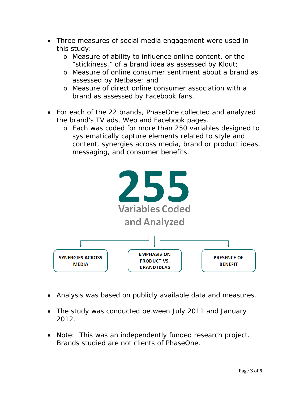- Three measures of social media engagement were used in this study:
	- o Measure of ability to influence online content, or the "stickiness," of a brand idea as assessed by Klout;
	- o Measure of online consumer sentiment about a brand as assessed by Netbase; and
	- o Measure of direct online consumer association with a brand as assessed by Facebook fans.
- For each of the 22 brands, PhaseOne collected and analyzed the brand's TV ads, Web and Facebook pages.
	- o Each was coded for more than 250 variables designed to systematically capture elements related to style and content, synergies across media, brand or product ideas, messaging, and consumer benefits.



- Analysis was based on publicly available data and measures.
- The study was conducted between July 2011 and January 2012.
- Note: This was an independently funded research project. Brands studied are not clients of PhaseOne.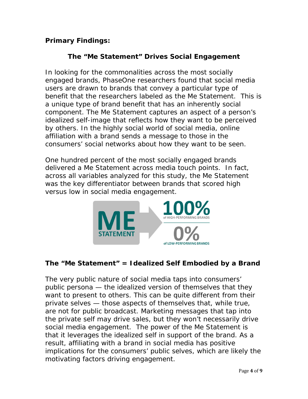# **Primary Findings:**

# **The "***Me Statement***" Drives Social Engagement**

In looking for the commonalities across the most socially engaged brands, PhaseOne researchers found that social media users are drawn to brands that convey a particular type of benefit that the researchers labeled as the *Me Statement*. This is a unique type of brand benefit that has an inherently social component. The *Me Statement* captures an aspect of a person's idealized self-image that reflects how they want to be perceived by others. In the highly social world of social media, online affiliation with a brand sends a message to those in the consumers' social networks about how they want to be seen.

One hundred percent of the most socially engaged brands delivered a *Me Statement* across media touch points. In fact, across all variables analyzed for this study, the *Me Statement* was the key differentiator between brands that scored high versus low in social media engagement.



## **The "***Me Statement***" = Idealized Self Embodied by a Brand**

The very public nature of social media taps into consumers' public persona — the idealized version of themselves that they want to present to others. This can be quite different from their private selves — those aspects of themselves that, while true, are not for public broadcast. Marketing messages that tap into the private self may drive sales, but they won't necessarily drive social media engagement. The power of the *Me Statement* is that it leverages the idealized self in support of the brand. As a result, affiliating with a brand in social media has positive implications for the consumers' public selves, which are likely the motivating factors driving engagement.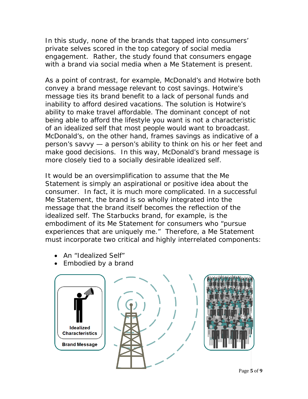In this study, none of the brands that tapped into consumers' private selves scored in the top category of social media engagement. Rather, the study found that consumers engage with a brand via social media when a *Me Statement* is present.

As a point of contrast, for example, McDonald's and Hotwire both convey a brand message relevant to cost savings. Hotwire's message ties its brand benefit to a lack of personal funds and inability to afford desired vacations. The solution is Hotwire's ability to make travel affordable. The dominant concept of not being able to afford the lifestyle you want is not a characteristic of an idealized self that most people would want to broadcast. McDonald's, on the other hand, frames savings as indicative of a person's savvy — a person's ability to think on his or her feet and make good decisions. In this way, McDonald's brand message is more closely tied to a socially desirable idealized self.

It would be an oversimplification to assume that the *Me Statement* is simply an aspirational or positive idea about the consumer. In fact, it is much more complicated. In a successful *Me Statement*, the brand is so wholly integrated into the message that the brand itself becomes the reflection of the idealized self. The Starbucks brand, for example, is the embodiment of its *Me Statement* for consumers who "pursue experiences that are uniquely me." Therefore, a *Me Statement* must incorporate two critical and highly interrelated components:

- An "Idealized Self"
- Embodied by a brand





Page **5** of **9**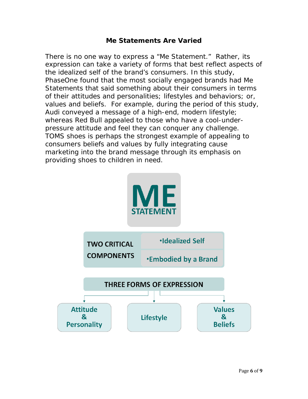#### *Me Statements* **Are Varied**

There is no one way to express a "*Me Statement.*" Rather, its expression can take a variety of forms that best reflect aspects of the idealized self of the brand's consumers. In this study, PhaseOne found that the most socially engaged brands had *Me Statements* that said something about their consumers in terms of their attitudes and personalities; lifestyles and behaviors; or, values and beliefs. For example, during the period of this study, Audi conveyed a message of a high-end, modern *lifestyle*; whereas Red Bull appealed to those who have a cool-underpressure *attitude* and feel they can conquer any challenge. TOMS shoes is perhaps the strongest example of appealing to consumers *beliefs and values* by fully integrating cause marketing into the brand message through its emphasis on providing shoes to children in need.

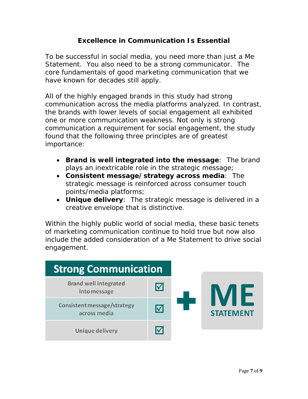## **Excellence in Communication Is Essential**

To be successful in social media, you need more than just a *Me Statement*. You also need to be a strong communicator. The core fundamentals of good marketing communication that we have known for decades still apply.

All of the highly engaged brands in this study had strong communication across the media platforms analyzed. In contrast, the brands with lower levels of social engagement all exhibited one or more communication weakness. Not only is strong communication a requirement for social engagement, the study found that the following three principles are of greatest importance:

- **Brand is well integrated into the message**: The brand plays an inextricable role in the strategic message;
- **Consistent message/strategy across media**: The strategic message is reinforced across consumer touch points/media platforms;
- **Unique delivery**: The strategic message is delivered in a creative envelope that is distinctive.

Within the highly public world of social media, these basic tenets of marketing communication continue to hold true but now also include the added consideration of a *Me Statement* to drive social engagement.

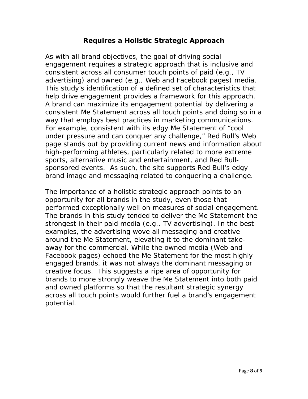#### **Requires a Holistic Strategic Approach**

As with all brand objectives, the goal of driving social engagement requires a strategic approach that is inclusive and consistent across all consumer touch points of paid (e.g., TV advertising) and owned (e.g., Web and Facebook pages) media. This study's identification of a defined set of characteristics that help drive engagement provides a framework for this approach. A brand can maximize its engagement potential by delivering a consistent *Me Statement* across all touch points and doing so in a way that employs best practices in marketing communications. For example, consistent with its edgy *Me Statement* of "cool under pressure and can conquer any challenge," Red Bull's Web page stands out by providing current news and information about high-performing athletes, particularly related to more extreme sports, alternative music and entertainment, and Red Bullsponsored events. As such, the site supports Red Bull's edgy brand image and messaging related to conquering a challenge.

The importance of a holistic strategic approach points to an opportunity for all brands in the study, even those that performed exceptionally well on measures of social engagement. The brands in this study tended to deliver the *Me Statement* the strongest in their paid media (e.g., TV advertising). In the best examples, the advertising wove all messaging and creative around the *Me Statement*, elevating it to the dominant takeaway for the commercial. While the owned media (Web and Facebook pages) echoed the *Me Statement* for the most highly engaged brands, it was not always the dominant messaging or creative focus. This suggests a ripe area of opportunity for brands to more strongly weave the *Me Statement* into both paid and owned platforms so that the resultant strategic synergy across all touch points would further fuel a brand's engagement potential.